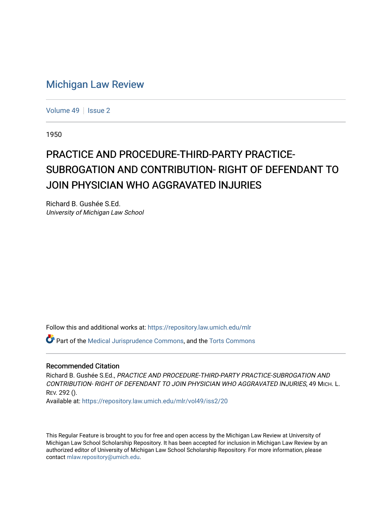## [Michigan Law Review](https://repository.law.umich.edu/mlr)

[Volume 49](https://repository.law.umich.edu/mlr/vol49) | [Issue 2](https://repository.law.umich.edu/mlr/vol49/iss2)

1950

## PRACTICE AND PROCEDURE-THIRD-PARTY PRACTICE-SUBROGATION AND CONTRIBUTION- RIGHT OF DEFENDANT TO JOIN PHYSICIAN WHO AGGRAVATED INJURIES

Richard B. Gushée S.Ed. University of Michigan Law School

Follow this and additional works at: [https://repository.law.umich.edu/mlr](https://repository.law.umich.edu/mlr?utm_source=repository.law.umich.edu%2Fmlr%2Fvol49%2Fiss2%2F20&utm_medium=PDF&utm_campaign=PDFCoverPages) 

Part of the [Medical Jurisprudence Commons,](http://network.bepress.com/hgg/discipline/860?utm_source=repository.law.umich.edu%2Fmlr%2Fvol49%2Fiss2%2F20&utm_medium=PDF&utm_campaign=PDFCoverPages) and the [Torts Commons](http://network.bepress.com/hgg/discipline/913?utm_source=repository.law.umich.edu%2Fmlr%2Fvol49%2Fiss2%2F20&utm_medium=PDF&utm_campaign=PDFCoverPages) 

## Recommended Citation

Richard B. Gushée S.Ed., PRACTICE AND PROCEDURE-THIRD-PARTY PRACTICE-SUBROGATION AND CONTRIBUTION- RIGHT OF DEFENDANT TO JOIN PHYSICIAN WHO AGGRAVATED lNJURIES, 49 MICH. L. REV. 292 ().

Available at: [https://repository.law.umich.edu/mlr/vol49/iss2/20](https://repository.law.umich.edu/mlr/vol49/iss2/20?utm_source=repository.law.umich.edu%2Fmlr%2Fvol49%2Fiss2%2F20&utm_medium=PDF&utm_campaign=PDFCoverPages) 

This Regular Feature is brought to you for free and open access by the Michigan Law Review at University of Michigan Law School Scholarship Repository. It has been accepted for inclusion in Michigan Law Review by an authorized editor of University of Michigan Law School Scholarship Repository. For more information, please contact [mlaw.repository@umich.edu](mailto:mlaw.repository@umich.edu).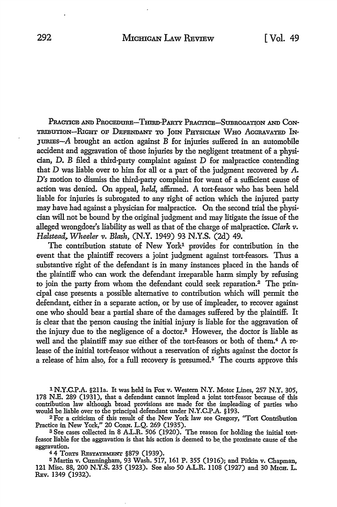PRACTICE AND PROCEDURE-THIRD-PARTY PRACTICE-SUBROGATION AND CON-TRIBUTION-RIGHT OF DEFENDANT TO JOIN PHYSICIAN WHO AGGRAVATED IN-JURIES- $A$  brought an action against  $B$  for injuries suffered in an automobile accident and aggravation of those injuries by the negligent treatment of a physician, D. B filed a third-party complaint against D for malpractice contending that D was liable over to him for all or a part of the judgment recovered by A. *D's* motion to dismiss the third-party complaint for want of a sufficient cause of action was denied. On appeal, *held,* affirmed. A tort-feasor who has been held liable for injuries is subrogated to any right of action which the injured party may have had against a physician for malpractice. On the second trial the physician will not be bound by the original judgment and may litigate the issue of the alleged wrongdoer's liability as well as that of the charge of malpractice. *Clark v. Halstead,. Wheeler v. Blash,* (N.Y. 1949) 93 N.Y.S. (2d) 49.

The contribution statute of New York<sup>1</sup> provides for contribution in the event that the plaintiff recovers a joint judgment against tort-feasors. Thus a substantive right of the defendant is in many instances placed in the hands of the plaintiff who can work the defendant irreparable harm simply by refusing to join the party from whom the defendant could seek reparation.<sup>2</sup> The principal case presents a possible alternative to contribution which will permit the defendant, either in a separate action, or by use of impleader, to recover against one who should bear a partial share of the damages suffered by the plaintiff. It is clear that the person causing the initial injury is liable for the aggravation of the injury due to the negligence of a doctor.3 However, the doctor is liable as well and the plaintiff may sue either of the tort-feasors or both of them.<sup>4</sup> A release of the initial tort-feasor without a reservation of rights against the doctor is a release of him also, for a full recovery is presumed. 5 The courts approve this

1 N.Y.C.P.A. §21la. It was held in Fox v. Western N.Y. Motor Lines, 257 N.Y. 305, 178 N.E. 289 (1931), that a defendant cannot implead a joint tort-feasor because of this contribution law although broad provisions are made for the impleading of parties who would be liable over to the principal defendant under N.Y.C.P.A. §193.

<sup>2</sup> For a criticism of this result of the New York law see Gregory, "Tort Contribution Practice in New York," 20 CoRN. L.Q. 269 (1935).

3 See cases collected in 8 *AL.R.* 506 (1920). The reason for holding the initial tortfeasor liable for the aggravation is that his action is deemed to be. the proximate cause of the aggravation.

4 4 ToRTs RESTATEMENT §879 (1939).

<sup>5</sup> Martin v. Cunningham, 93 Wash. 517, 161 P. 355 (1916); and Pitkin v. Chapman, 121 Misc. 88, 200 N.Y.S. 235 (1923). See also 50 A.L.R. 1108 (1927) and 30 MICH. L. REv. 1349 (1932).